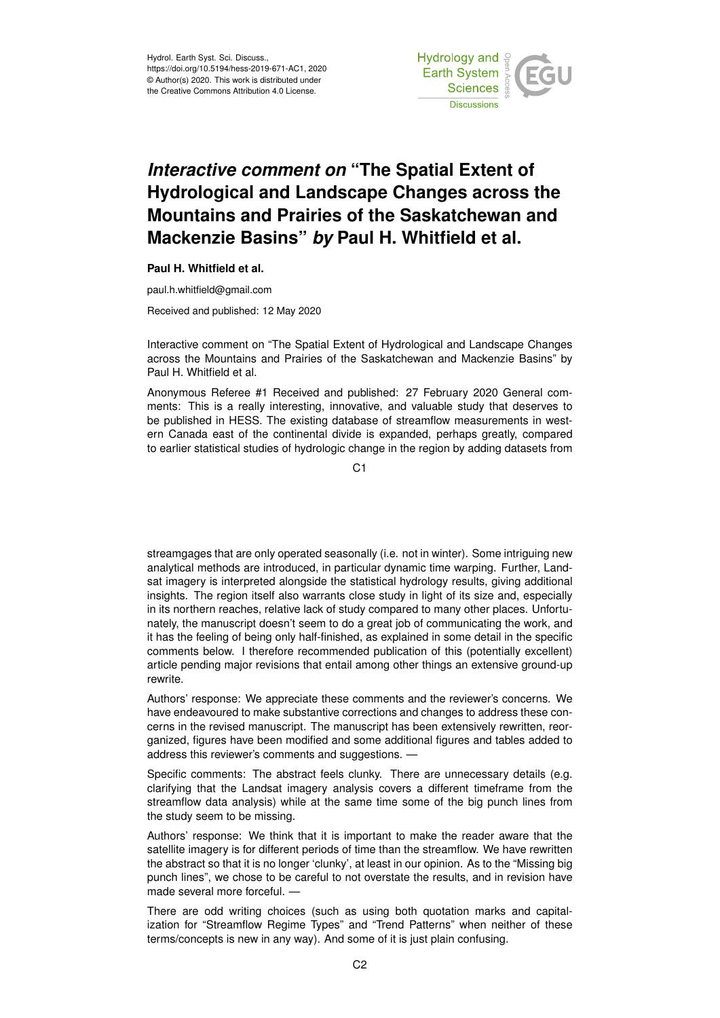

## *Interactive comment on* **"The Spatial Extent of Hydrological and Landscape Changes across the Mountains and Prairies of the Saskatchewan and Mackenzie Basins"** *by* **Paul H. Whitfield et al.**

## **Paul H. Whitfield et al.**

paul.h.whitfield@gmail.com

Received and published: 12 May 2020

Interactive comment on "The Spatial Extent of Hydrological and Landscape Changes across the Mountains and Prairies of the Saskatchewan and Mackenzie Basins" by Paul H. Whitfield et al.

Anonymous Referee #1 Received and published: 27 February 2020 General comments: This is a really interesting, innovative, and valuable study that deserves to be published in HESS. The existing database of streamflow measurements in western Canada east of the continental divide is expanded, perhaps greatly, compared to earlier statistical studies of hydrologic change in the region by adding datasets from

C<sub>1</sub>

streamgages that are only operated seasonally (i.e. not in winter). Some intriguing new analytical methods are introduced, in particular dynamic time warping. Further, Landsat imagery is interpreted alongside the statistical hydrology results, giving additional insights. The region itself also warrants close study in light of its size and, especially in its northern reaches, relative lack of study compared to many other places. Unfortunately, the manuscript doesn't seem to do a great job of communicating the work, and it has the feeling of being only half-finished, as explained in some detail in the specific comments below. I therefore recommended publication of this (potentially excellent) article pending major revisions that entail among other things an extensive ground-up rewrite.

Authors' response: We appreciate these comments and the reviewer's concerns. We have endeavoured to make substantive corrections and changes to address these concerns in the revised manuscript. The manuscript has been extensively rewritten, reorganized, figures have been modified and some additional figures and tables added to address this reviewer's comments and suggestions. —

Specific comments: The abstract feels clunky. There are unnecessary details (e.g. clarifying that the Landsat imagery analysis covers a different timeframe from the streamflow data analysis) while at the same time some of the big punch lines from the study seem to be missing.

Authors' response: We think that it is important to make the reader aware that the satellite imagery is for different periods of time than the streamflow. We have rewritten the abstract so that it is no longer 'clunky', at least in our opinion. As to the "Missing big punch lines", we chose to be careful to not overstate the results, and in revision have made several more forceful. —

There are odd writing choices (such as using both quotation marks and capitalization for "Streamflow Regime Types" and "Trend Patterns" when neither of these terms/concepts is new in any way). And some of it is just plain confusing.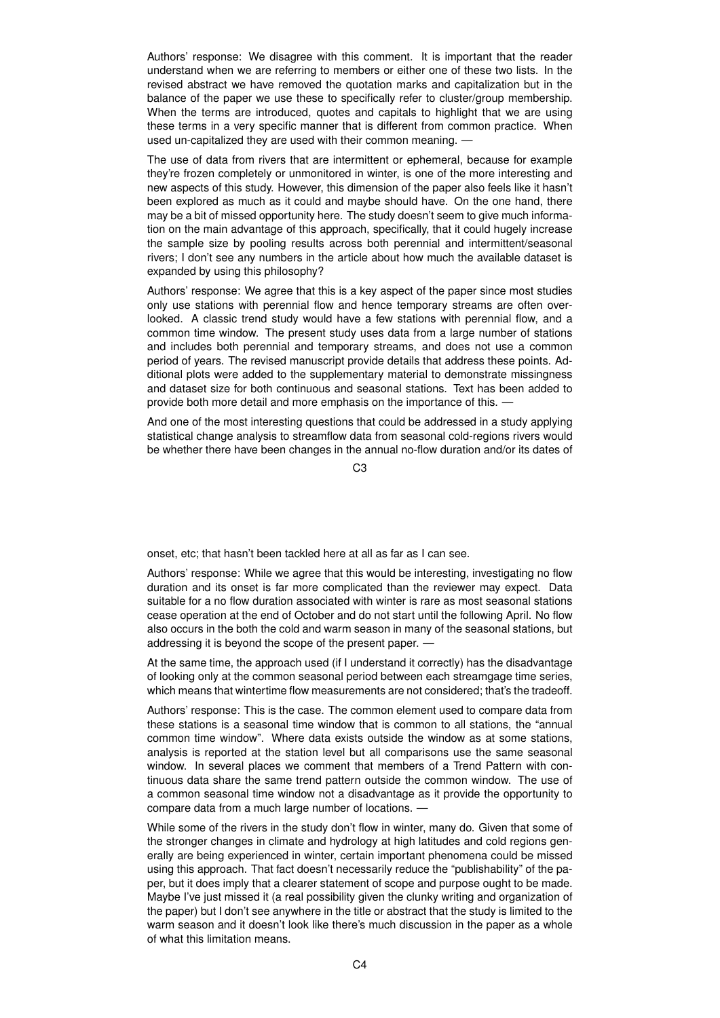Authors' response: We disagree with this comment. It is important that the reader understand when we are referring to members or either one of these two lists. In the revised abstract we have removed the quotation marks and capitalization but in the balance of the paper we use these to specifically refer to cluster/group membership. When the terms are introduced, quotes and capitals to highlight that we are using these terms in a very specific manner that is different from common practice. When used un-capitalized they are used with their common meaning. —

The use of data from rivers that are intermittent or ephemeral, because for example they're frozen completely or unmonitored in winter, is one of the more interesting and new aspects of this study. However, this dimension of the paper also feels like it hasn't been explored as much as it could and maybe should have. On the one hand, there may be a bit of missed opportunity here. The study doesn't seem to give much information on the main advantage of this approach, specifically, that it could hugely increase the sample size by pooling results across both perennial and intermittent/seasonal rivers; I don't see any numbers in the article about how much the available dataset is expanded by using this philosophy?

Authors' response: We agree that this is a key aspect of the paper since most studies only use stations with perennial flow and hence temporary streams are often overlooked. A classic trend study would have a few stations with perennial flow, and a common time window. The present study uses data from a large number of stations and includes both perennial and temporary streams, and does not use a common period of years. The revised manuscript provide details that address these points. Additional plots were added to the supplementary material to demonstrate missingness and dataset size for both continuous and seasonal stations. Text has been added to provide both more detail and more emphasis on the importance of this. —

And one of the most interesting questions that could be addressed in a study applying statistical change analysis to streamflow data from seasonal cold-regions rivers would be whether there have been changes in the annual no-flow duration and/or its dates of

 $C3$ 

onset, etc; that hasn't been tackled here at all as far as I can see.

Authors' response: While we agree that this would be interesting, investigating no flow duration and its onset is far more complicated than the reviewer may expect. Data suitable for a no flow duration associated with winter is rare as most seasonal stations cease operation at the end of October and do not start until the following April. No flow also occurs in the both the cold and warm season in many of the seasonal stations, but addressing it is beyond the scope of the present paper. —

At the same time, the approach used (if I understand it correctly) has the disadvantage of looking only at the common seasonal period between each streamgage time series, which means that wintertime flow measurements are not considered; that's the tradeoff.

Authors' response: This is the case. The common element used to compare data from these stations is a seasonal time window that is common to all stations, the "annual common time window". Where data exists outside the window as at some stations, analysis is reported at the station level but all comparisons use the same seasonal window. In several places we comment that members of a Trend Pattern with continuous data share the same trend pattern outside the common window. The use of a common seasonal time window not a disadvantage as it provide the opportunity to compare data from a much large number of locations. —

While some of the rivers in the study don't flow in winter, many do. Given that some of the stronger changes in climate and hydrology at high latitudes and cold regions generally are being experienced in winter, certain important phenomena could be missed using this approach. That fact doesn't necessarily reduce the "publishability" of the paper, but it does imply that a clearer statement of scope and purpose ought to be made. Maybe I've just missed it (a real possibility given the clunky writing and organization of the paper) but I don't see anywhere in the title or abstract that the study is limited to the warm season and it doesn't look like there's much discussion in the paper as a whole of what this limitation means.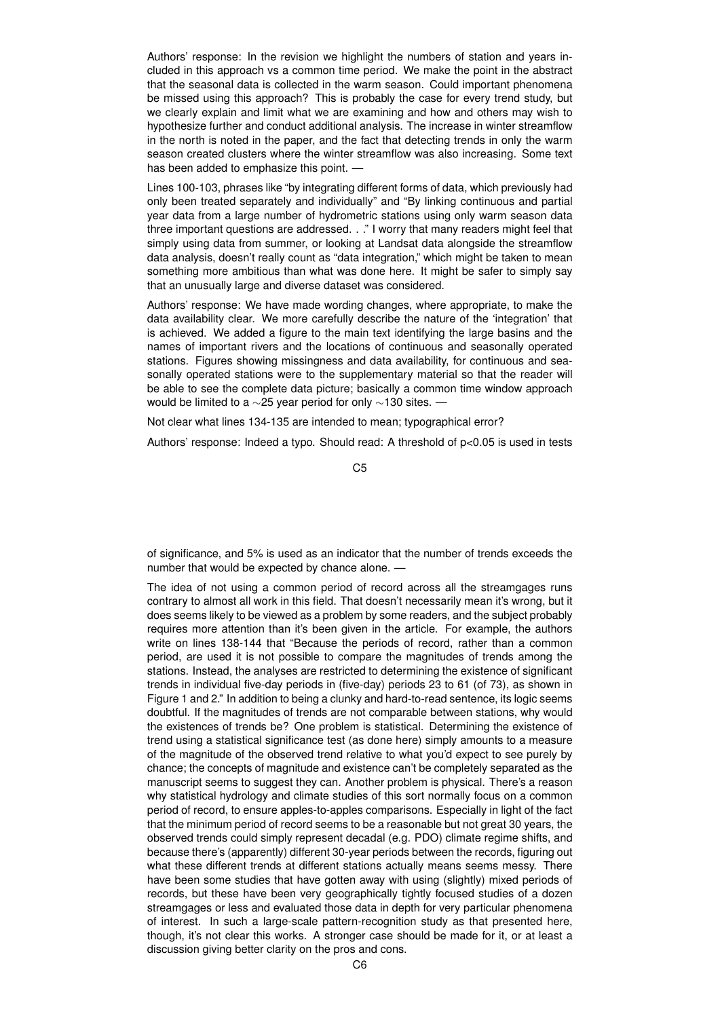Authors' response: In the revision we highlight the numbers of station and years included in this approach vs a common time period. We make the point in the abstract that the seasonal data is collected in the warm season. Could important phenomena be missed using this approach? This is probably the case for every trend study, but we clearly explain and limit what we are examining and how and others may wish to hypothesize further and conduct additional analysis. The increase in winter streamflow in the north is noted in the paper, and the fact that detecting trends in only the warm season created clusters where the winter streamflow was also increasing. Some text has been added to emphasize this point. —

Lines 100-103, phrases like "by integrating different forms of data, which previously had only been treated separately and individually" and "By linking continuous and partial year data from a large number of hydrometric stations using only warm season data three important questions are addressed. . ." I worry that many readers might feel that simply using data from summer, or looking at Landsat data alongside the streamflow data analysis, doesn't really count as "data integration," which might be taken to mean something more ambitious than what was done here. It might be safer to simply say that an unusually large and diverse dataset was considered.

Authors' response: We have made wording changes, where appropriate, to make the data availability clear. We more carefully describe the nature of the 'integration' that is achieved. We added a figure to the main text identifying the large basins and the names of important rivers and the locations of continuous and seasonally operated stations. Figures showing missingness and data availability, for continuous and seasonally operated stations were to the supplementary material so that the reader will be able to see the complete data picture; basically a common time window approach would be limited to a ∼25 year period for only ∼130 sites. —

Not clear what lines 134-135 are intended to mean; typographical error?

Authors' response: Indeed a typo. Should read: A threshold of p<0.05 is used in tests

C5

of significance, and 5% is used as an indicator that the number of trends exceeds the number that would be expected by chance alone. -

The idea of not using a common period of record across all the streamgages runs contrary to almost all work in this field. That doesn't necessarily mean it's wrong, but it does seems likely to be viewed as a problem by some readers, and the subject probably requires more attention than it's been given in the article. For example, the authors write on lines 138-144 that "Because the periods of record, rather than a common period, are used it is not possible to compare the magnitudes of trends among the stations. Instead, the analyses are restricted to determining the existence of significant trends in individual five-day periods in (five-day) periods 23 to 61 (of 73), as shown in Figure 1 and 2." In addition to being a clunky and hard-to-read sentence, its logic seems doubtful. If the magnitudes of trends are not comparable between stations, why would the existences of trends be? One problem is statistical. Determining the existence of trend using a statistical significance test (as done here) simply amounts to a measure of the magnitude of the observed trend relative to what you'd expect to see purely by chance; the concepts of magnitude and existence can't be completely separated as the manuscript seems to suggest they can. Another problem is physical. There's a reason why statistical hydrology and climate studies of this sort normally focus on a common period of record, to ensure apples-to-apples comparisons. Especially in light of the fact that the minimum period of record seems to be a reasonable but not great 30 years, the observed trends could simply represent decadal (e.g. PDO) climate regime shifts, and because there's (apparently) different 30-year periods between the records, figuring out what these different trends at different stations actually means seems messy. There have been some studies that have gotten away with using (slightly) mixed periods of records, but these have been very geographically tightly focused studies of a dozen streamgages or less and evaluated those data in depth for very particular phenomena of interest. In such a large-scale pattern-recognition study as that presented here, though, it's not clear this works. A stronger case should be made for it, or at least a discussion giving better clarity on the pros and cons.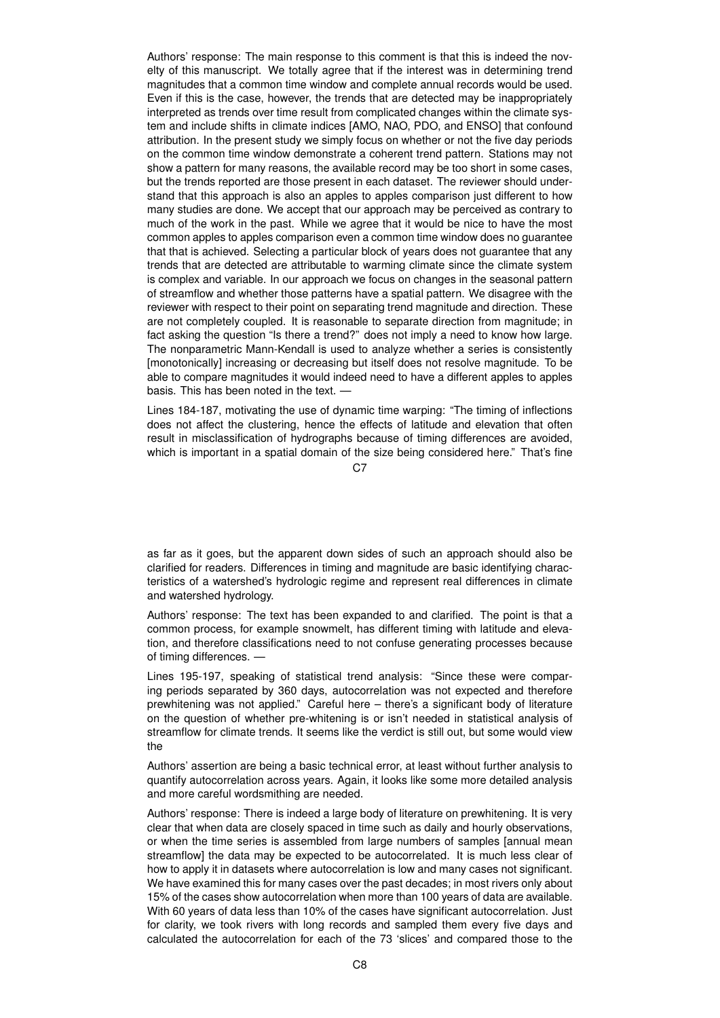Authors' response: The main response to this comment is that this is indeed the novelty of this manuscript. We totally agree that if the interest was in determining trend magnitudes that a common time window and complete annual records would be used. Even if this is the case, however, the trends that are detected may be inappropriately interpreted as trends over time result from complicated changes within the climate system and include shifts in climate indices [AMO, NAO, PDO, and ENSO] that confound attribution. In the present study we simply focus on whether or not the five day periods on the common time window demonstrate a coherent trend pattern. Stations may not show a pattern for many reasons, the available record may be too short in some cases, but the trends reported are those present in each dataset. The reviewer should understand that this approach is also an apples to apples comparison just different to how many studies are done. We accept that our approach may be perceived as contrary to much of the work in the past. While we agree that it would be nice to have the most common apples to apples comparison even a common time window does no guarantee that that is achieved. Selecting a particular block of years does not guarantee that any trends that are detected are attributable to warming climate since the climate system is complex and variable. In our approach we focus on changes in the seasonal pattern of streamflow and whether those patterns have a spatial pattern. We disagree with the reviewer with respect to their point on separating trend magnitude and direction. These are not completely coupled. It is reasonable to separate direction from magnitude; in fact asking the question "Is there a trend?" does not imply a need to know how large. The nonparametric Mann-Kendall is used to analyze whether a series is consistently [monotonically] increasing or decreasing but itself does not resolve magnitude. To be able to compare magnitudes it would indeed need to have a different apples to apples basis. This has been noted in the text. —

Lines 184-187, motivating the use of dynamic time warping: "The timing of inflections does not affect the clustering, hence the effects of latitude and elevation that often result in misclassification of hydrographs because of timing differences are avoided, which is important in a spatial domain of the size being considered here." That's fine

 $C.7$ 

as far as it goes, but the apparent down sides of such an approach should also be clarified for readers. Differences in timing and magnitude are basic identifying characteristics of a watershed's hydrologic regime and represent real differences in climate and watershed hydrology.

Authors' response: The text has been expanded to and clarified. The point is that a common process, for example snowmelt, has different timing with latitude and elevation, and therefore classifications need to not confuse generating processes because of timing differences. —

Lines 195-197, speaking of statistical trend analysis: "Since these were comparing periods separated by 360 days, autocorrelation was not expected and therefore prewhitening was not applied." Careful here – there's a significant body of literature on the question of whether pre-whitening is or isn't needed in statistical analysis of streamflow for climate trends. It seems like the verdict is still out, but some would view the

Authors' assertion are being a basic technical error, at least without further analysis to quantify autocorrelation across years. Again, it looks like some more detailed analysis and more careful wordsmithing are needed.

Authors' response: There is indeed a large body of literature on prewhitening. It is very clear that when data are closely spaced in time such as daily and hourly observations, or when the time series is assembled from large numbers of samples [annual mean streamflow] the data may be expected to be autocorrelated. It is much less clear of how to apply it in datasets where autocorrelation is low and many cases not significant. We have examined this for many cases over the past decades; in most rivers only about 15% of the cases show autocorrelation when more than 100 years of data are available. With 60 years of data less than 10% of the cases have significant autocorrelation. Just for clarity, we took rivers with long records and sampled them every five days and calculated the autocorrelation for each of the 73 'slices' and compared those to the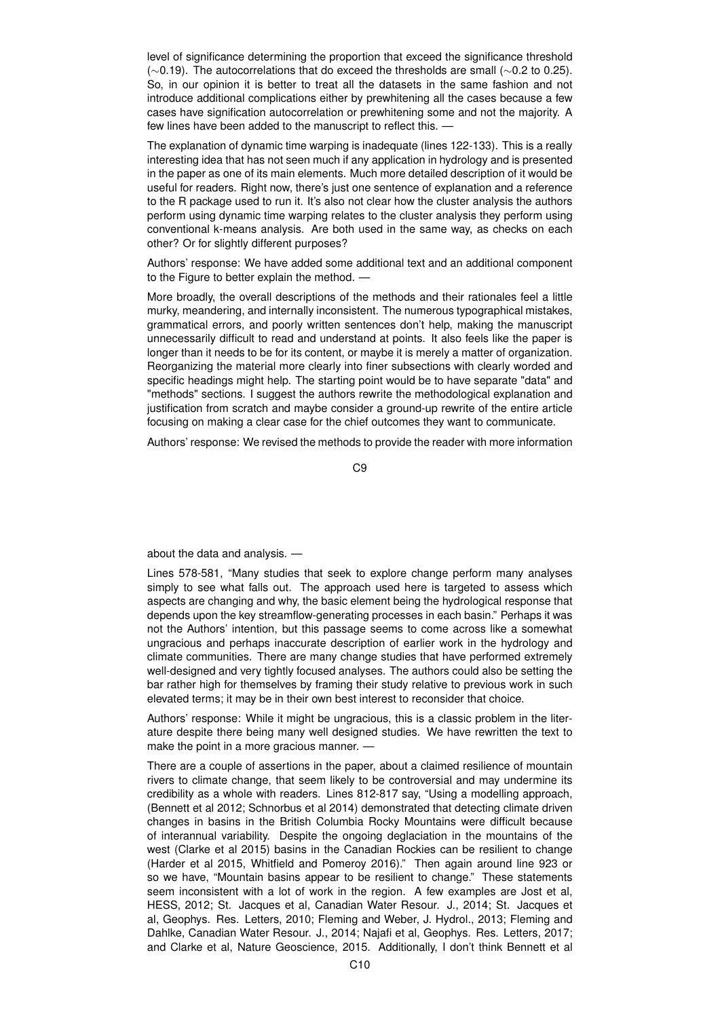level of significance determining the proportion that exceed the significance threshold (∼0.19). The autocorrelations that do exceed the thresholds are small (∼0.2 to 0.25). So, in our opinion it is better to treat all the datasets in the same fashion and not introduce additional complications either by prewhitening all the cases because a few cases have signification autocorrelation or prewhitening some and not the majority. A few lines have been added to the manuscript to reflect this. —

The explanation of dynamic time warping is inadequate (lines 122-133). This is a really interesting idea that has not seen much if any application in hydrology and is presented in the paper as one of its main elements. Much more detailed description of it would be useful for readers. Right now, there's just one sentence of explanation and a reference to the R package used to run it. It's also not clear how the cluster analysis the authors perform using dynamic time warping relates to the cluster analysis they perform using conventional k-means analysis. Are both used in the same way, as checks on each other? Or for slightly different purposes?

Authors' response: We have added some additional text and an additional component to the Figure to better explain the method. —

More broadly, the overall descriptions of the methods and their rationales feel a little murky, meandering, and internally inconsistent. The numerous typographical mistakes, grammatical errors, and poorly written sentences don't help, making the manuscript unnecessarily difficult to read and understand at points. It also feels like the paper is longer than it needs to be for its content, or maybe it is merely a matter of organization. Reorganizing the material more clearly into finer subsections with clearly worded and specific headings might help. The starting point would be to have separate "data" and "methods" sections. I suggest the authors rewrite the methodological explanation and justification from scratch and maybe consider a ground-up rewrite of the entire article focusing on making a clear case for the chief outcomes they want to communicate.

Authors' response: We revised the methods to provide the reader with more information

C9

about the data and analysis. —

Lines 578-581, "Many studies that seek to explore change perform many analyses simply to see what falls out. The approach used here is targeted to assess which aspects are changing and why, the basic element being the hydrological response that depends upon the key streamflow-generating processes in each basin." Perhaps it was not the Authors' intention, but this passage seems to come across like a somewhat ungracious and perhaps inaccurate description of earlier work in the hydrology and climate communities. There are many change studies that have performed extremely well-designed and very tightly focused analyses. The authors could also be setting the bar rather high for themselves by framing their study relative to previous work in such elevated terms; it may be in their own best interest to reconsider that choice.

Authors' response: While it might be ungracious, this is a classic problem in the literature despite there being many well designed studies. We have rewritten the text to make the point in a more gracious manner. —

There are a couple of assertions in the paper, about a claimed resilience of mountain rivers to climate change, that seem likely to be controversial and may undermine its credibility as a whole with readers. Lines 812-817 say, "Using a modelling approach, (Bennett et al 2012; Schnorbus et al 2014) demonstrated that detecting climate driven changes in basins in the British Columbia Rocky Mountains were difficult because of interannual variability. Despite the ongoing deglaciation in the mountains of the west (Clarke et al 2015) basins in the Canadian Rockies can be resilient to change (Harder et al 2015, Whitfield and Pomeroy 2016)." Then again around line 923 or so we have, "Mountain basins appear to be resilient to change." These statements seem inconsistent with a lot of work in the region. A few examples are Jost et al, HESS, 2012; St. Jacques et al, Canadian Water Resour. J., 2014; St. Jacques et al, Geophys. Res. Letters, 2010; Fleming and Weber, J. Hydrol., 2013; Fleming and Dahlke, Canadian Water Resour. J., 2014; Najafi et al, Geophys. Res. Letters, 2017; and Clarke et al, Nature Geoscience, 2015. Additionally, I don't think Bennett et al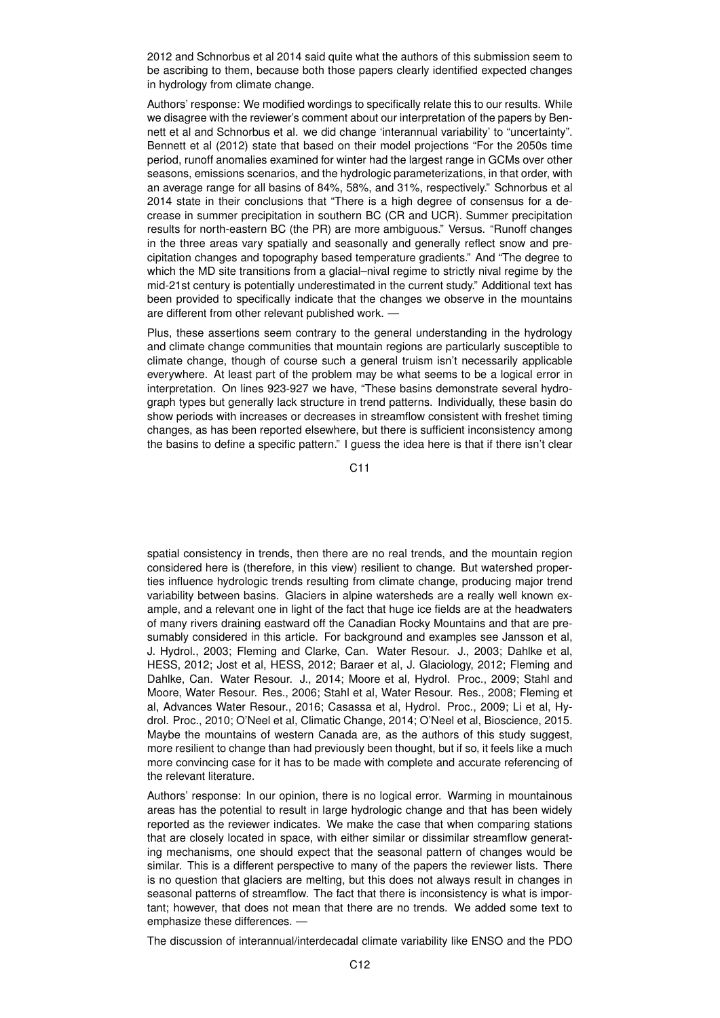2012 and Schnorbus et al 2014 said quite what the authors of this submission seem to be ascribing to them, because both those papers clearly identified expected changes in hydrology from climate change.

Authors' response: We modified wordings to specifically relate this to our results. While we disagree with the reviewer's comment about our interpretation of the papers by Bennett et al and Schnorbus et al. we did change 'interannual variability' to "uncertainty". Bennett et al (2012) state that based on their model projections "For the 2050s time period, runoff anomalies examined for winter had the largest range in GCMs over other seasons, emissions scenarios, and the hydrologic parameterizations, in that order, with an average range for all basins of 84%, 58%, and 31%, respectively." Schnorbus et al 2014 state in their conclusions that "There is a high degree of consensus for a decrease in summer precipitation in southern BC (CR and UCR). Summer precipitation results for north-eastern BC (the PR) are more ambiguous." Versus. "Runoff changes in the three areas vary spatially and seasonally and generally reflect snow and precipitation changes and topography based temperature gradients." And "The degree to which the MD site transitions from a glacial–nival regime to strictly nival regime by the mid-21st century is potentially underestimated in the current study." Additional text has been provided to specifically indicate that the changes we observe in the mountains are different from other relevant published work. -

Plus, these assertions seem contrary to the general understanding in the hydrology and climate change communities that mountain regions are particularly susceptible to climate change, though of course such a general truism isn't necessarily applicable everywhere. At least part of the problem may be what seems to be a logical error in interpretation. On lines 923-927 we have, "These basins demonstrate several hydrograph types but generally lack structure in trend patterns. Individually, these basin do show periods with increases or decreases in streamflow consistent with freshet timing changes, as has been reported elsewhere, but there is sufficient inconsistency among the basins to define a specific pattern." I guess the idea here is that if there isn't clear

C11

spatial consistency in trends, then there are no real trends, and the mountain region considered here is (therefore, in this view) resilient to change. But watershed properties influence hydrologic trends resulting from climate change, producing major trend variability between basins. Glaciers in alpine watersheds are a really well known example, and a relevant one in light of the fact that huge ice fields are at the headwaters of many rivers draining eastward off the Canadian Rocky Mountains and that are presumably considered in this article. For background and examples see Jansson et al, J. Hydrol., 2003; Fleming and Clarke, Can. Water Resour. J., 2003; Dahlke et al, HESS, 2012; Jost et al, HESS, 2012; Baraer et al, J. Glaciology, 2012; Fleming and Dahlke, Can. Water Resour. J., 2014; Moore et al, Hydrol. Proc., 2009; Stahl and Moore, Water Resour. Res., 2006; Stahl et al, Water Resour. Res., 2008; Fleming et al, Advances Water Resour., 2016; Casassa et al, Hydrol. Proc., 2009; Li et al, Hydrol. Proc., 2010; O'Neel et al, Climatic Change, 2014; O'Neel et al, Bioscience, 2015. Maybe the mountains of western Canada are, as the authors of this study suggest, more resilient to change than had previously been thought, but if so, it feels like a much more convincing case for it has to be made with complete and accurate referencing of the relevant literature.

Authors' response: In our opinion, there is no logical error. Warming in mountainous areas has the potential to result in large hydrologic change and that has been widely reported as the reviewer indicates. We make the case that when comparing stations that are closely located in space, with either similar or dissimilar streamflow generating mechanisms, one should expect that the seasonal pattern of changes would be similar. This is a different perspective to many of the papers the reviewer lists. There is no question that glaciers are melting, but this does not always result in changes in seasonal patterns of streamflow. The fact that there is inconsistency is what is important; however, that does not mean that there are no trends. We added some text to emphasize these differences. —

The discussion of interannual/interdecadal climate variability like ENSO and the PDO